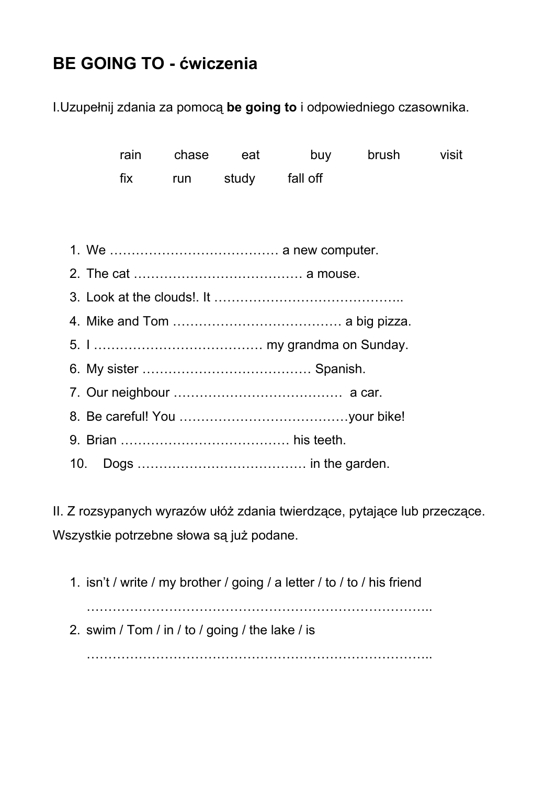## **BE GOING TO - ćwiczenia**

I.Uzupełnij zdania za pomocą **be going to** i odpowiedniego czasownika.

|  |  |  | rain chase eat         |  | buy brush | visit |
|--|--|--|------------------------|--|-----------|-------|
|  |  |  | fix run study fall off |  |           |       |
|  |  |  |                        |  |           |       |
|  |  |  |                        |  |           |       |
|  |  |  |                        |  |           |       |
|  |  |  |                        |  |           |       |
|  |  |  |                        |  |           |       |
|  |  |  |                        |  |           |       |
|  |  |  |                        |  |           |       |
|  |  |  |                        |  |           |       |
|  |  |  |                        |  |           |       |
|  |  |  |                        |  |           |       |
|  |  |  |                        |  |           |       |
|  |  |  |                        |  |           |       |

II. Z rozsypanych wyrazów ułóż zdania twierdzące, pytające lub przeczące. Wszystkie potrzebne słowa są już podane.

1. isn't / write / my brother / going / a letter / to / to / his friend …………………………………………………………………….. 2. swim / Tom / in / to / going / the lake / is

……………………………………………………………………..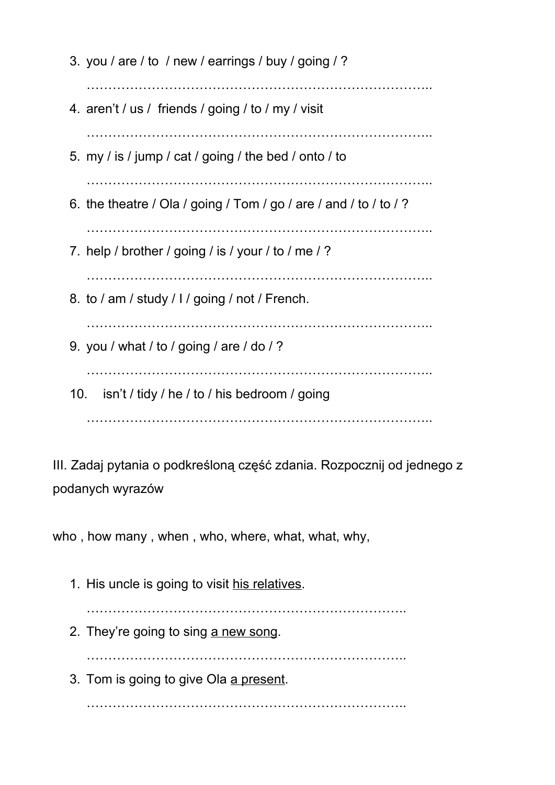3. you / are / to / new / earrings / buy / going / ? …………………………………………………………………….. 4. aren't / us / friends / going / to / my / visit …………………………………………………………………….. 5. my / is / jump / cat / going / the bed / onto / to …………………………………………………………………….. 6. the theatre / Ola / going / Tom / go / are / and / to / to / ? …………………………………………………………………….. 7. help / brother / going / is / your / to / me / ? …………………………………………………………………….. 8. to / am / study / I / going / not / French. …………………………………………………………………….. 9. you / what / to / going / are / do / ? …………………………………………………………………….. 10. isn't / tidy / he / to / his bedroom / going ……………………………………………………………………..

III. Zadaj pytania o podkreśloną część zdania. Rozpocznij od jednego z podanych wyrazów

who, how many, when, who, where, what, what, why,

1. His uncle is going to visit his relatives. ……………………………………………………………….. 2. They're going to sing a new song. ……………………………………………………………….. 3. Tom is going to give Ola a present. ………………………………………………………………..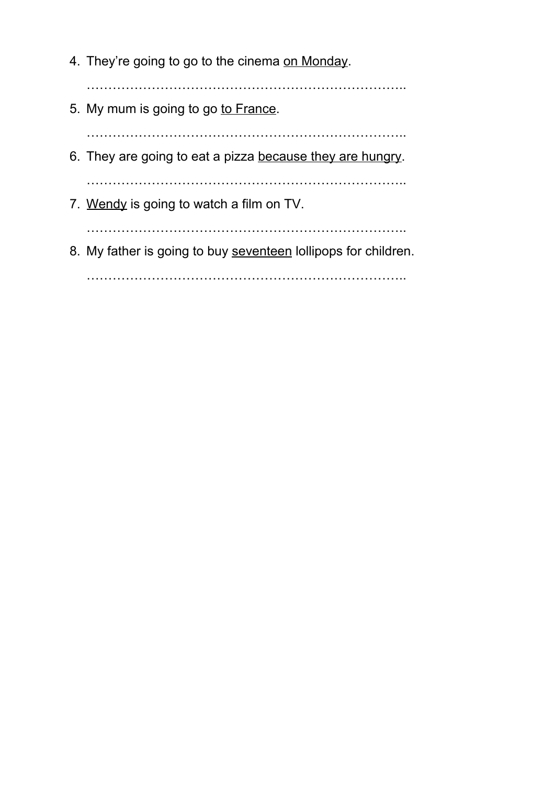- 4. They're going to go to the cinema on Monday.
- ………………………………………………………………..
- 5. My mum is going to go to France.

………………………………………………………………..

6. They are going to eat a pizza because they are hungry.

………………………………………………………………..

7. Wendy is going to watch a film on TV.

………………………………………………………………..

8. My father is going to buy seventeen lollipops for children.

………………………………………………………………..